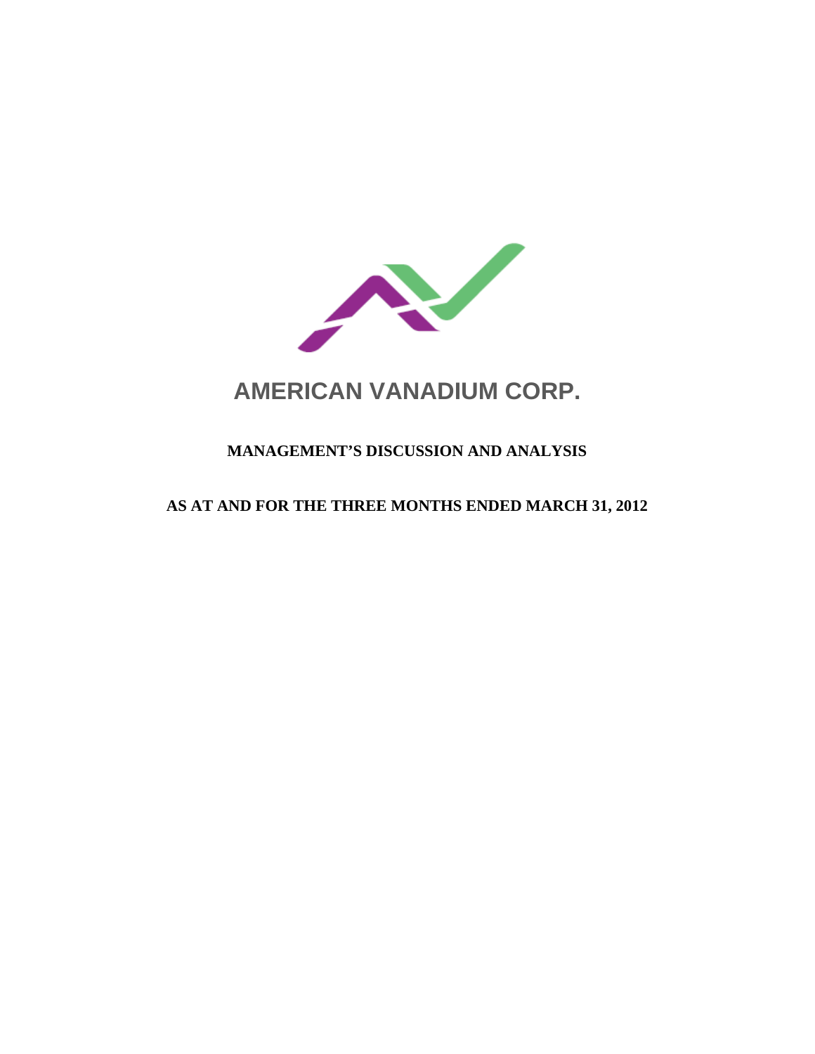

# **AMERICAN VANADIUM CORP.**

# **MANAGEMENT'S DISCUSSION AND ANALYSIS**

# **AS AT AND FOR THE THREE MONTHS ENDED MARCH 31, 2012**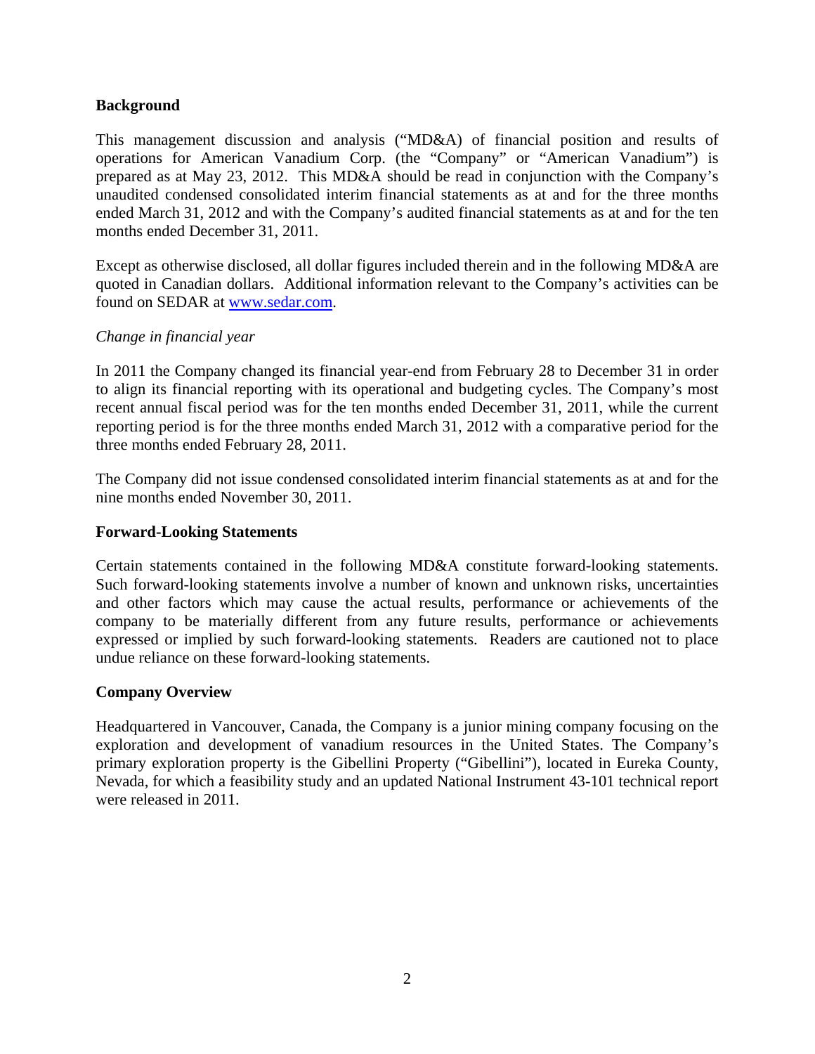# **Background**

This management discussion and analysis ("MD&A) of financial position and results of operations for American Vanadium Corp. (the "Company" or "American Vanadium") is prepared as at May 23, 2012. This MD&A should be read in conjunction with the Company's unaudited condensed consolidated interim financial statements as at and for the three months ended March 31, 2012 and with the Company's audited financial statements as at and for the ten months ended December 31, 2011.

Except as otherwise disclosed, all dollar figures included therein and in the following MD&A are quoted in Canadian dollars. Additional information relevant to the Company's activities can be found on SEDAR at www.sedar.com.

# *Change in financial year*

In 2011 the Company changed its financial year-end from February 28 to December 31 in order to align its financial reporting with its operational and budgeting cycles. The Company's most recent annual fiscal period was for the ten months ended December 31, 2011, while the current reporting period is for the three months ended March 31, 2012 with a comparative period for the three months ended February 28, 2011.

The Company did not issue condensed consolidated interim financial statements as at and for the nine months ended November 30, 2011.

# **Forward-Looking Statements**

Certain statements contained in the following MD&A constitute forward-looking statements. Such forward-looking statements involve a number of known and unknown risks, uncertainties and other factors which may cause the actual results, performance or achievements of the company to be materially different from any future results, performance or achievements expressed or implied by such forward-looking statements. Readers are cautioned not to place undue reliance on these forward-looking statements.

# **Company Overview**

Headquartered in Vancouver, Canada, the Company is a junior mining company focusing on the exploration and development of vanadium resources in the United States. The Company's primary exploration property is the Gibellini Property ("Gibellini"), located in Eureka County, Nevada, for which a feasibility study and an updated National Instrument 43-101 technical report were released in 2011.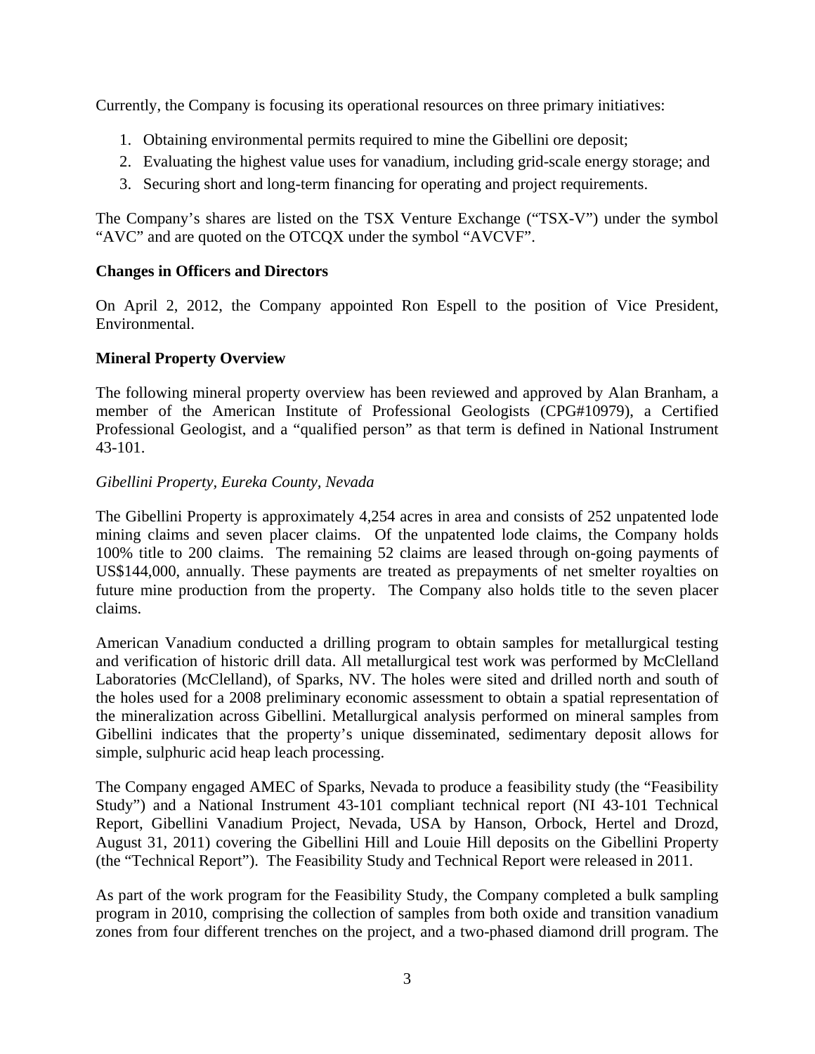Currently, the Company is focusing its operational resources on three primary initiatives:

- 1. Obtaining environmental permits required to mine the Gibellini ore deposit;
- 2. Evaluating the highest value uses for vanadium, including grid-scale energy storage; and
- 3. Securing short and long-term financing for operating and project requirements.

The Company's shares are listed on the TSX Venture Exchange ("TSX-V") under the symbol "AVC" and are quoted on the OTCQX under the symbol "AVCVF".

# **Changes in Officers and Directors**

On April 2, 2012, the Company appointed Ron Espell to the position of Vice President, Environmental.

# **Mineral Property Overview**

The following mineral property overview has been reviewed and approved by Alan Branham, a member of the American Institute of Professional Geologists (CPG#10979), a Certified Professional Geologist, and a "qualified person" as that term is defined in National Instrument 43-101.

# *Gibellini Property, Eureka County, Nevada*

The Gibellini Property is approximately 4,254 acres in area and consists of 252 unpatented lode mining claims and seven placer claims. Of the unpatented lode claims, the Company holds 100% title to 200 claims. The remaining 52 claims are leased through on-going payments of US\$144,000, annually. These payments are treated as prepayments of net smelter royalties on future mine production from the property. The Company also holds title to the seven placer claims.

American Vanadium conducted a drilling program to obtain samples for metallurgical testing and verification of historic drill data. All metallurgical test work was performed by McClelland Laboratories (McClelland), of Sparks, NV. The holes were sited and drilled north and south of the holes used for a 2008 preliminary economic assessment to obtain a spatial representation of the mineralization across Gibellini. Metallurgical analysis performed on mineral samples from Gibellini indicates that the property's unique disseminated, sedimentary deposit allows for simple, sulphuric acid heap leach processing.

The Company engaged AMEC of Sparks, Nevada to produce a feasibility study (the "Feasibility Study") and a National Instrument 43-101 compliant technical report (NI 43-101 Technical Report, Gibellini Vanadium Project, Nevada, USA by Hanson, Orbock, Hertel and Drozd, August 31, 2011) covering the Gibellini Hill and Louie Hill deposits on the Gibellini Property (the "Technical Report"). The Feasibility Study and Technical Report were released in 2011.

As part of the work program for the Feasibility Study, the Company completed a bulk sampling program in 2010, comprising the collection of samples from both oxide and transition vanadium zones from four different trenches on the project, and a two-phased diamond drill program. The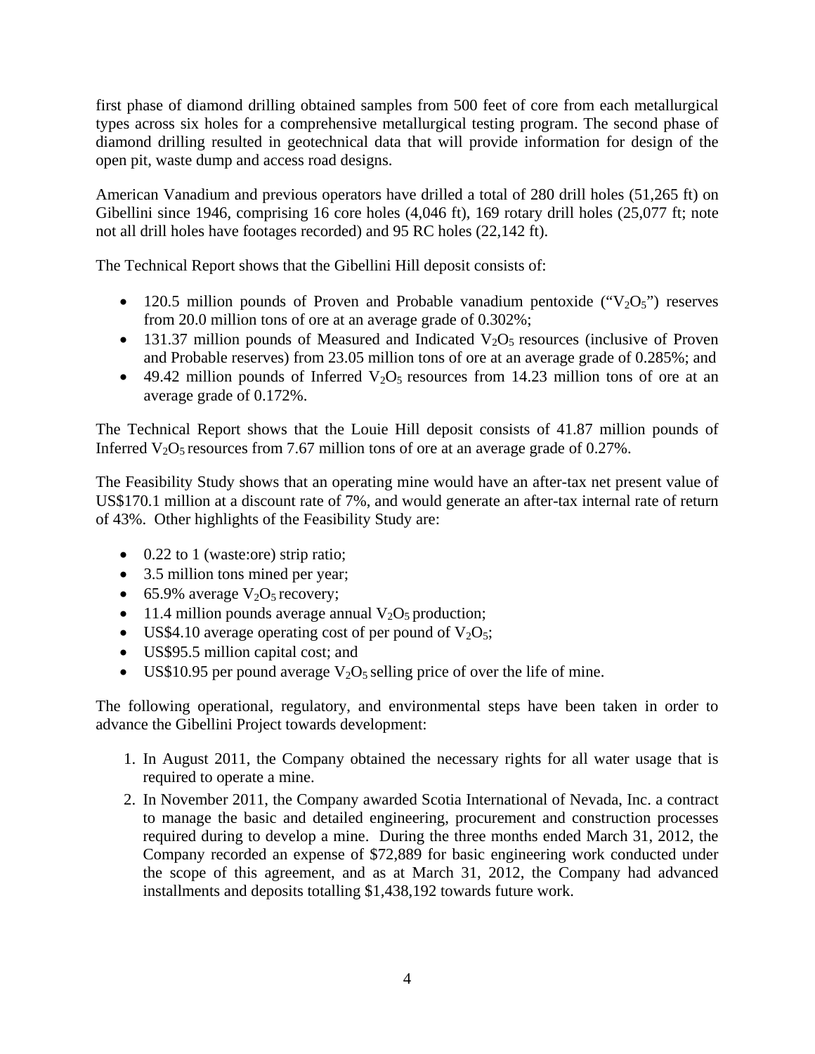first phase of diamond drilling obtained samples from 500 feet of core from each metallurgical types across six holes for a comprehensive metallurgical testing program. The second phase of diamond drilling resulted in geotechnical data that will provide information for design of the open pit, waste dump and access road designs.

American Vanadium and previous operators have drilled a total of 280 drill holes (51,265 ft) on Gibellini since 1946, comprising 16 core holes (4,046 ft), 169 rotary drill holes (25,077 ft; note not all drill holes have footages recorded) and 95 RC holes (22,142 ft).

The Technical Report shows that the Gibellini Hill deposit consists of:

- 120.5 million pounds of Proven and Probable vanadium pentoxide  $("V<sub>2</sub>O<sub>5</sub>")$  reserves from 20.0 million tons of ore at an average grade of 0.302%;
- 131.37 million pounds of Measured and Indicated  $V_2O_5$  resources (inclusive of Proven and Probable reserves) from 23.05 million tons of ore at an average grade of 0.285%; and
- 49.42 million pounds of Inferred  $V_2O_5$  resources from 14.23 million tons of ore at an average grade of 0.172%.

The Technical Report shows that the Louie Hill deposit consists of 41.87 million pounds of Inferred  $V_2O_5$  resources from 7.67 million tons of ore at an average grade of 0.27%.

The Feasibility Study shows that an operating mine would have an after-tax net present value of US\$170.1 million at a discount rate of 7%, and would generate an after-tax internal rate of return of 43%. Other highlights of the Feasibility Study are:

- 0.22 to 1 (waste:ore) strip ratio;
- 3.5 million tons mined per year;
- 65.9% average  $V_2O_5$  recovery;
- 11.4 million pounds average annual  $V_2O_5$  production;
- US\$4.10 average operating cost of per pound of  $V_2O_5$ ;
- US\$95.5 million capital cost; and
- US\$10.95 per pound average  $V_2O_5$  selling price of over the life of mine.

The following operational, regulatory, and environmental steps have been taken in order to advance the Gibellini Project towards development:

- 1. In August 2011, the Company obtained the necessary rights for all water usage that is required to operate a mine.
- 2. In November 2011, the Company awarded Scotia International of Nevada, Inc. a contract to manage the basic and detailed engineering, procurement and construction processes required during to develop a mine. During the three months ended March 31, 2012, the Company recorded an expense of \$72,889 for basic engineering work conducted under the scope of this agreement, and as at March 31, 2012, the Company had advanced installments and deposits totalling \$1,438,192 towards future work.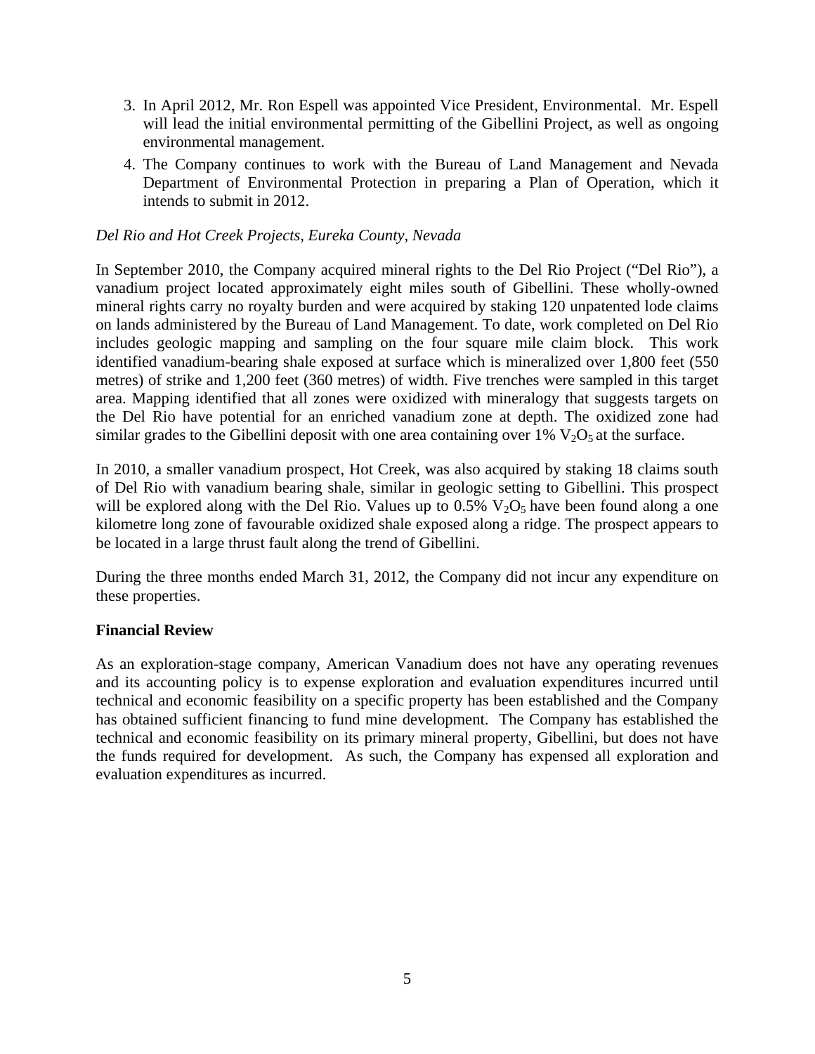- 3. In April 2012, Mr. Ron Espell was appointed Vice President, Environmental. Mr. Espell will lead the initial environmental permitting of the Gibellini Project, as well as ongoing environmental management.
- 4. The Company continues to work with the Bureau of Land Management and Nevada Department of Environmental Protection in preparing a Plan of Operation, which it intends to submit in 2012.

#### *Del Rio and Hot Creek Projects, Eureka County, Nevada*

In September 2010, the Company acquired mineral rights to the Del Rio Project ("Del Rio"), a vanadium project located approximately eight miles south of Gibellini. These wholly-owned mineral rights carry no royalty burden and were acquired by staking 120 unpatented lode claims on lands administered by the Bureau of Land Management. To date, work completed on Del Rio includes geologic mapping and sampling on the four square mile claim block. This work identified vanadium-bearing shale exposed at surface which is mineralized over 1,800 feet (550 metres) of strike and 1,200 feet (360 metres) of width. Five trenches were sampled in this target area. Mapping identified that all zones were oxidized with mineralogy that suggests targets on the Del Rio have potential for an enriched vanadium zone at depth. The oxidized zone had similar grades to the Gibellini deposit with one area containing over 1%  $V_2O_5$  at the surface.

In 2010, a smaller vanadium prospect, Hot Creek, was also acquired by staking 18 claims south of Del Rio with vanadium bearing shale, similar in geologic setting to Gibellini. This prospect will be explored along with the Del Rio. Values up to  $0.5\%$  V<sub>2</sub>O<sub>5</sub> have been found along a one kilometre long zone of favourable oxidized shale exposed along a ridge. The prospect appears to be located in a large thrust fault along the trend of Gibellini.

During the three months ended March 31, 2012, the Company did not incur any expenditure on these properties.

# **Financial Review**

As an exploration-stage company, American Vanadium does not have any operating revenues and its accounting policy is to expense exploration and evaluation expenditures incurred until technical and economic feasibility on a specific property has been established and the Company has obtained sufficient financing to fund mine development. The Company has established the technical and economic feasibility on its primary mineral property, Gibellini, but does not have the funds required for development. As such, the Company has expensed all exploration and evaluation expenditures as incurred.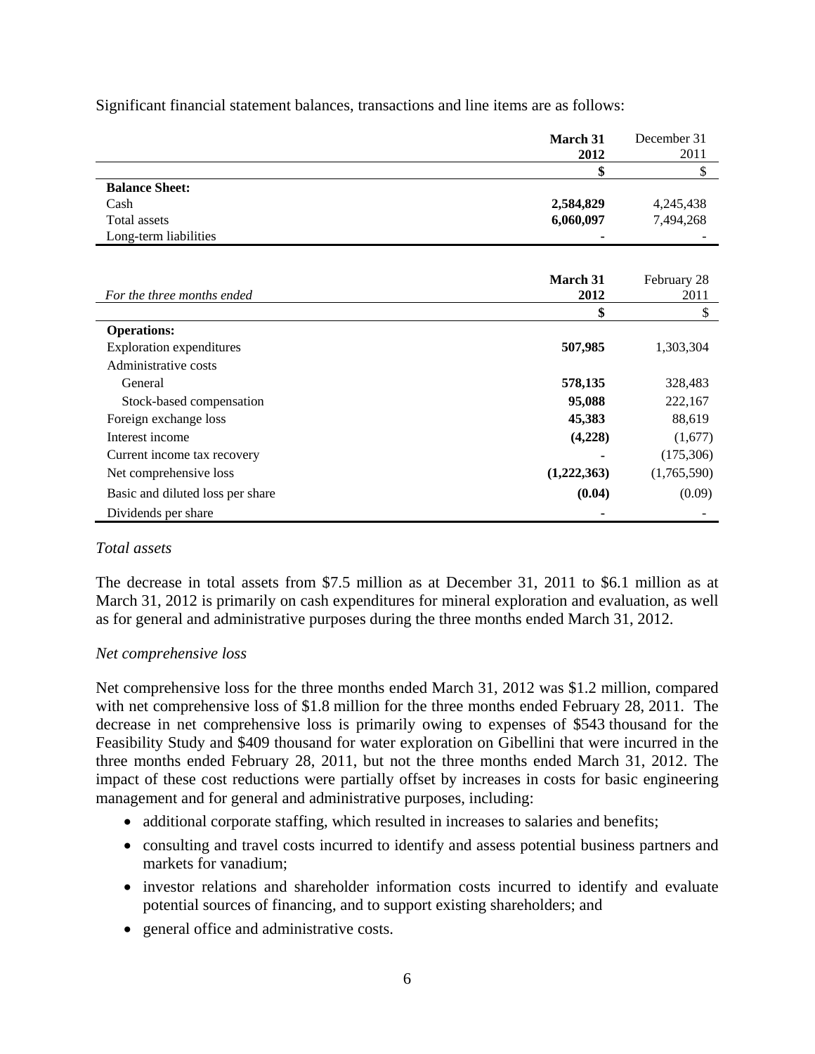|                                  | March 31    | December 31 |
|----------------------------------|-------------|-------------|
|                                  | 2012        | 2011        |
|                                  | \$          | \$          |
| <b>Balance Sheet:</b>            |             |             |
| Cash                             | 2,584,829   | 4,245,438   |
| <b>Total assets</b>              | 6,060,097   | 7,494,268   |
| Long-term liabilities            |             |             |
|                                  |             |             |
|                                  | March 31    | February 28 |
| For the three months ended       | 2012        | 2011        |
|                                  | \$          | \$          |
| <b>Operations:</b>               |             |             |
| <b>Exploration expenditures</b>  | 507,985     | 1,303,304   |
| Administrative costs             |             |             |
| General                          | 578,135     | 328,483     |
| Stock-based compensation         | 95,088      | 222,167     |
| Foreign exchange loss            | 45,383      | 88,619      |
| Interest income                  | (4,228)     | (1,677)     |
| Current income tax recovery      |             | (175,306)   |
| Net comprehensive loss           | (1,222,363) | (1,765,590) |
| Basic and diluted loss per share | (0.04)      | (0.09)      |
| Dividends per share              |             |             |

Significant financial statement balances, transactions and line items are as follows:

# *Total assets*

The decrease in total assets from \$7.5 million as at December 31, 2011 to \$6.1 million as at March 31, 2012 is primarily on cash expenditures for mineral exploration and evaluation, as well as for general and administrative purposes during the three months ended March 31, 2012.

# *Net comprehensive loss*

Net comprehensive loss for the three months ended March 31, 2012 was \$1.2 million, compared with net comprehensive loss of \$1.8 million for the three months ended February 28, 2011. The decrease in net comprehensive loss is primarily owing to expenses of \$543 thousand for the Feasibility Study and \$409 thousand for water exploration on Gibellini that were incurred in the three months ended February 28, 2011, but not the three months ended March 31, 2012. The impact of these cost reductions were partially offset by increases in costs for basic engineering management and for general and administrative purposes, including:

- additional corporate staffing, which resulted in increases to salaries and benefits;
- consulting and travel costs incurred to identify and assess potential business partners and markets for vanadium;
- investor relations and shareholder information costs incurred to identify and evaluate potential sources of financing, and to support existing shareholders; and
- general office and administrative costs.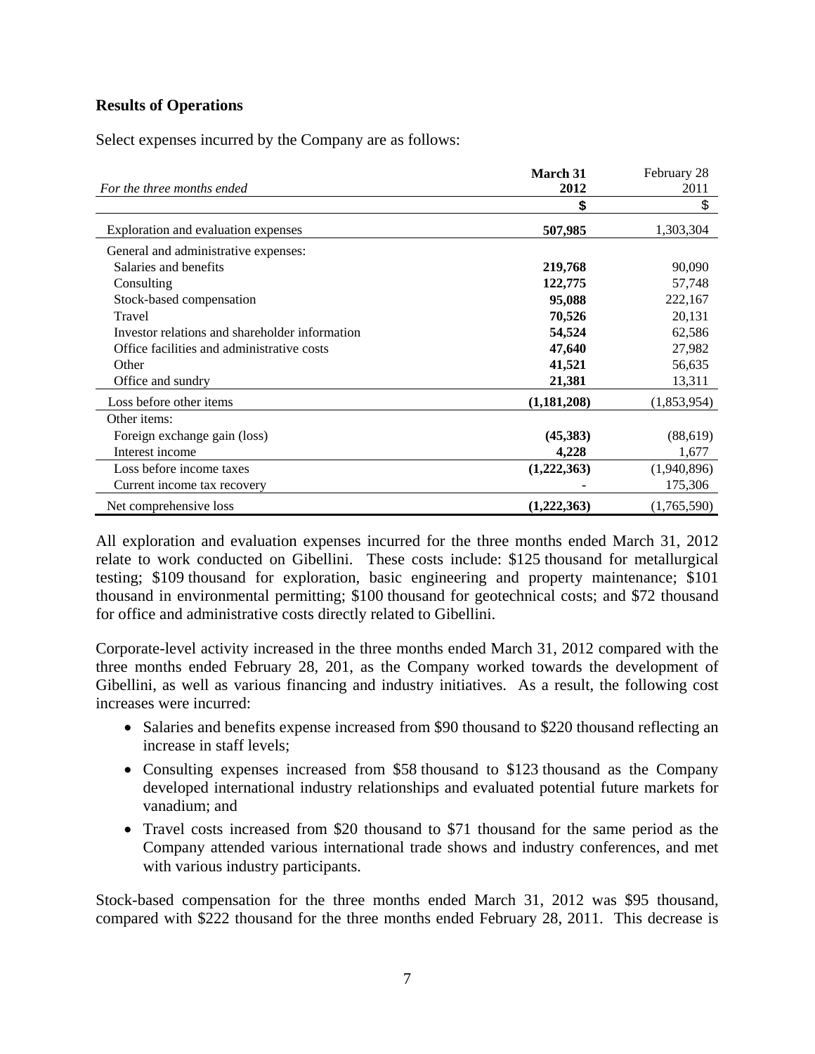# **Results of Operations**

Select expenses incurred by the Company are as follows:

|                                                | <b>March 31</b> | February 28 |  |
|------------------------------------------------|-----------------|-------------|--|
| For the three months ended                     | 2012            | 2011        |  |
|                                                | \$              | \$          |  |
| Exploration and evaluation expenses            | 507,985         | 1,303,304   |  |
| General and administrative expenses:           |                 |             |  |
| Salaries and benefits                          | 219,768         | 90,090      |  |
| Consulting                                     | 122,775         | 57,748      |  |
| Stock-based compensation                       | 95,088          | 222,167     |  |
| Travel                                         | 70,526          | 20,131      |  |
| Investor relations and shareholder information | 54,524          | 62,586      |  |
| Office facilities and administrative costs     | 47,640          | 27,982      |  |
| Other                                          | 41,521          | 56,635      |  |
| Office and sundry                              | 21,381          | 13,311      |  |
| Loss before other items                        | (1, 181, 208)   | (1,853,954) |  |
| Other items:                                   |                 |             |  |
| Foreign exchange gain (loss)                   | (45,383)        | (88,619)    |  |
| Interest income                                | 4,228           | 1,677       |  |
| Loss before income taxes                       | (1,222,363)     | (1,940,896) |  |
| Current income tax recovery                    |                 | 175,306     |  |
| Net comprehensive loss                         | (1,222,363)     | (1,765,590) |  |

All exploration and evaluation expenses incurred for the three months ended March 31, 2012 relate to work conducted on Gibellini. These costs include: \$125 thousand for metallurgical testing; \$109 thousand for exploration, basic engineering and property maintenance; \$101 thousand in environmental permitting; \$100 thousand for geotechnical costs; and \$72 thousand for office and administrative costs directly related to Gibellini.

Corporate-level activity increased in the three months ended March 31, 2012 compared with the three months ended February 28, 201, as the Company worked towards the development of Gibellini, as well as various financing and industry initiatives. As a result, the following cost increases were incurred:

- Salaries and benefits expense increased from \$90 thousand to \$220 thousand reflecting an increase in staff levels;
- Consulting expenses increased from \$58 thousand to \$123 thousand as the Company developed international industry relationships and evaluated potential future markets for vanadium; and
- Travel costs increased from \$20 thousand to \$71 thousand for the same period as the Company attended various international trade shows and industry conferences, and met with various industry participants.

Stock-based compensation for the three months ended March 31, 2012 was \$95 thousand, compared with \$222 thousand for the three months ended February 28, 2011. This decrease is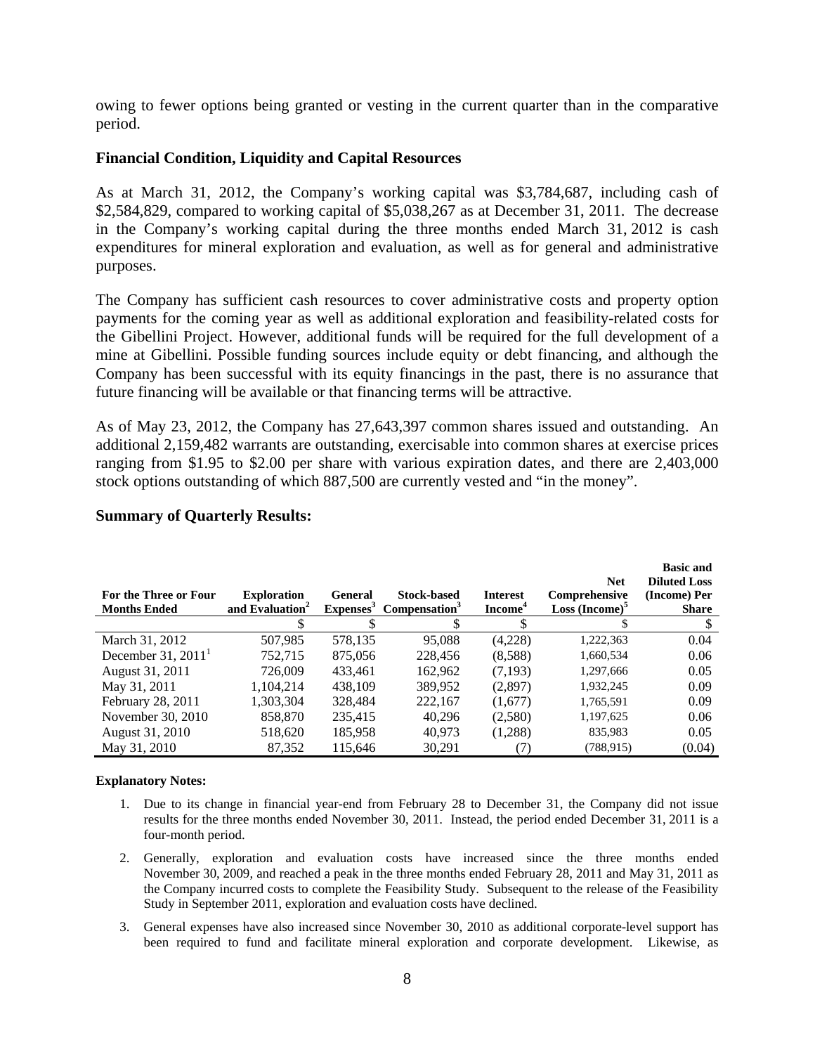owing to fewer options being granted or vesting in the current quarter than in the comparative period.

#### **Financial Condition, Liquidity and Capital Resources**

As at March 31, 2012, the Company's working capital was \$3,784,687, including cash of \$2,584,829, compared to working capital of \$5,038,267 as at December 31, 2011. The decrease in the Company's working capital during the three months ended March 31, 2012 is cash expenditures for mineral exploration and evaluation, as well as for general and administrative purposes.

The Company has sufficient cash resources to cover administrative costs and property option payments for the coming year as well as additional exploration and feasibility-related costs for the Gibellini Project. However, additional funds will be required for the full development of a mine at Gibellini. Possible funding sources include equity or debt financing, and although the Company has been successful with its equity financings in the past, there is no assurance that future financing will be available or that financing terms will be attractive.

As of May 23, 2012, the Company has 27,643,397 common shares issued and outstanding. An additional 2,159,482 warrants are outstanding, exercisable into common shares at exercise prices ranging from \$1.95 to \$2.00 per share with various expiration dates, and there are 2,403,000 stock options outstanding of which 887,500 are currently vested and "in the money".

| For the Three or Four<br><b>Months Ended</b> | <b>Exploration</b><br>and Evaluation <sup>2</sup> | General<br>Expenses <sup>3</sup> | <b>Stock-based</b><br>Compensation <sup>3</sup> | <b>Interest</b><br>Income <sup>4</sup> | <b>Net</b><br>Comprehensive<br>$Loss (Income)^5$ | <b>Basic and</b><br><b>Diluted Loss</b><br>(Income) Per<br><b>Share</b> |
|----------------------------------------------|---------------------------------------------------|----------------------------------|-------------------------------------------------|----------------------------------------|--------------------------------------------------|-------------------------------------------------------------------------|
|                                              |                                                   |                                  |                                                 |                                        |                                                  |                                                                         |
| March 31, 2012                               | 507,985                                           | 578,135                          | 95,088                                          | (4,228)                                | 1,222,363                                        | 0.04                                                                    |
| December $31, 2011$ <sup>1</sup>             | 752.715                                           | 875,056                          | 228,456                                         | (8,588)                                | 1,660,534                                        | 0.06                                                                    |
| August 31, 2011                              | 726,009                                           | 433.461                          | 162.962                                         | (7,193)                                | 1,297,666                                        | 0.05                                                                    |
| May 31, 2011                                 | 1,104,214                                         | 438,109                          | 389,952                                         | (2,897)                                | 1,932,245                                        | 0.09                                                                    |
| February 28, 2011                            | 1,303,304                                         | 328,484                          | 222,167                                         | (1,677)                                | 1,765,591                                        | 0.09                                                                    |
| November 30, 2010                            | 858,870                                           | 235,415                          | 40.296                                          | (2,580)                                | 1,197,625                                        | 0.06                                                                    |
| August 31, 2010                              | 518,620                                           | 185,958                          | 40,973                                          | (1,288)                                | 835,983                                          | 0.05                                                                    |
| May 31, 2010                                 | 87,352                                            | 115,646                          | 30,291                                          |                                        | (788, 915)                                       | (0.04)                                                                  |

#### **Summary of Quarterly Results:**

#### **Explanatory Notes:**

- 1. Due to its change in financial year-end from February 28 to December 31, the Company did not issue results for the three months ended November 30, 2011. Instead, the period ended December 31, 2011 is a four-month period.
- 2. Generally, exploration and evaluation costs have increased since the three months ended November 30, 2009, and reached a peak in the three months ended February 28, 2011 and May 31, 2011 as the Company incurred costs to complete the Feasibility Study. Subsequent to the release of the Feasibility Study in September 2011, exploration and evaluation costs have declined.
- 3. General expenses have also increased since November 30, 2010 as additional corporate-level support has been required to fund and facilitate mineral exploration and corporate development. Likewise, as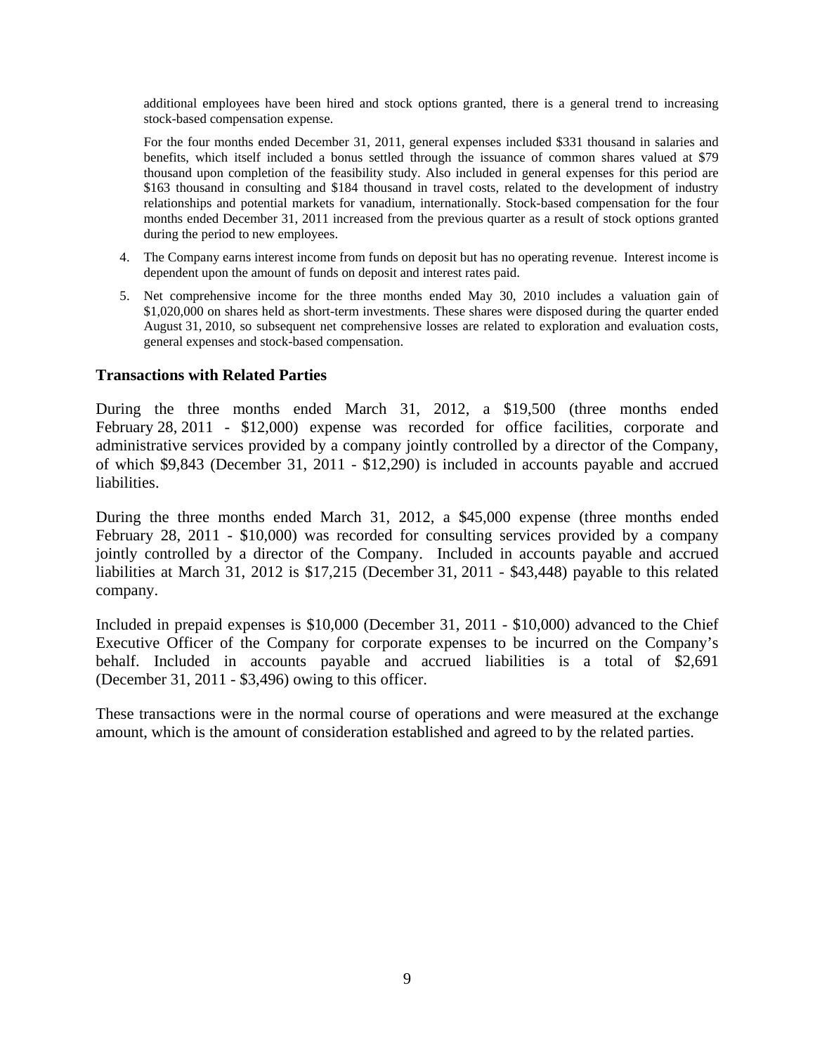additional employees have been hired and stock options granted, there is a general trend to increasing stock-based compensation expense.

For the four months ended December 31, 2011, general expenses included \$331 thousand in salaries and benefits, which itself included a bonus settled through the issuance of common shares valued at \$79 thousand upon completion of the feasibility study. Also included in general expenses for this period are \$163 thousand in consulting and \$184 thousand in travel costs, related to the development of industry relationships and potential markets for vanadium, internationally. Stock-based compensation for the four months ended December 31, 2011 increased from the previous quarter as a result of stock options granted during the period to new employees.

- 4. The Company earns interest income from funds on deposit but has no operating revenue. Interest income is dependent upon the amount of funds on deposit and interest rates paid.
- 5. Net comprehensive income for the three months ended May 30, 2010 includes a valuation gain of \$1,020,000 on shares held as short-term investments. These shares were disposed during the quarter ended August 31, 2010, so subsequent net comprehensive losses are related to exploration and evaluation costs, general expenses and stock-based compensation.

#### **Transactions with Related Parties**

During the three months ended March 31, 2012, a \$19,500 (three months ended February 28, 2011 - \$12,000) expense was recorded for office facilities, corporate and administrative services provided by a company jointly controlled by a director of the Company, of which \$9,843 (December 31, 2011 - \$12,290) is included in accounts payable and accrued liabilities.

During the three months ended March 31, 2012, a \$45,000 expense (three months ended February 28, 2011 - \$10,000) was recorded for consulting services provided by a company jointly controlled by a director of the Company. Included in accounts payable and accrued liabilities at March 31, 2012 is \$17,215 (December 31, 2011 - \$43,448) payable to this related company.

Included in prepaid expenses is \$10,000 (December 31, 2011 - \$10,000) advanced to the Chief Executive Officer of the Company for corporate expenses to be incurred on the Company's behalf. Included in accounts payable and accrued liabilities is a total of \$2,691 (December 31, 2011 - \$3,496) owing to this officer.

These transactions were in the normal course of operations and were measured at the exchange amount, which is the amount of consideration established and agreed to by the related parties.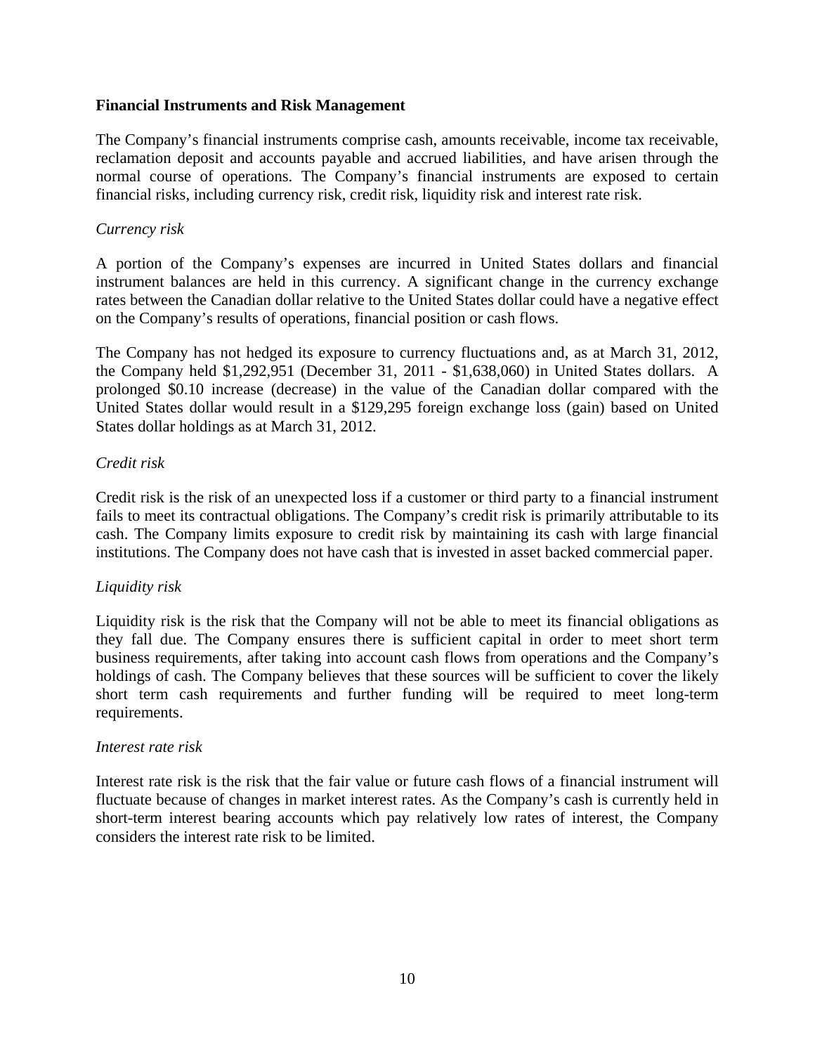#### **Financial Instruments and Risk Management**

The Company's financial instruments comprise cash, amounts receivable, income tax receivable, reclamation deposit and accounts payable and accrued liabilities, and have arisen through the normal course of operations. The Company's financial instruments are exposed to certain financial risks, including currency risk, credit risk, liquidity risk and interest rate risk.

#### *Currency risk*

A portion of the Company's expenses are incurred in United States dollars and financial instrument balances are held in this currency. A significant change in the currency exchange rates between the Canadian dollar relative to the United States dollar could have a negative effect on the Company's results of operations, financial position or cash flows.

The Company has not hedged its exposure to currency fluctuations and, as at March 31, 2012, the Company held \$1,292,951 (December 31, 2011 - \$1,638,060) in United States dollars. A prolonged \$0.10 increase (decrease) in the value of the Canadian dollar compared with the United States dollar would result in a \$129,295 foreign exchange loss (gain) based on United States dollar holdings as at March 31, 2012.

# *Credit risk*

Credit risk is the risk of an unexpected loss if a customer or third party to a financial instrument fails to meet its contractual obligations. The Company's credit risk is primarily attributable to its cash. The Company limits exposure to credit risk by maintaining its cash with large financial institutions. The Company does not have cash that is invested in asset backed commercial paper.

# *Liquidity risk*

Liquidity risk is the risk that the Company will not be able to meet its financial obligations as they fall due. The Company ensures there is sufficient capital in order to meet short term business requirements, after taking into account cash flows from operations and the Company's holdings of cash. The Company believes that these sources will be sufficient to cover the likely short term cash requirements and further funding will be required to meet long-term requirements.

#### *Interest rate risk*

Interest rate risk is the risk that the fair value or future cash flows of a financial instrument will fluctuate because of changes in market interest rates. As the Company's cash is currently held in short-term interest bearing accounts which pay relatively low rates of interest, the Company considers the interest rate risk to be limited.